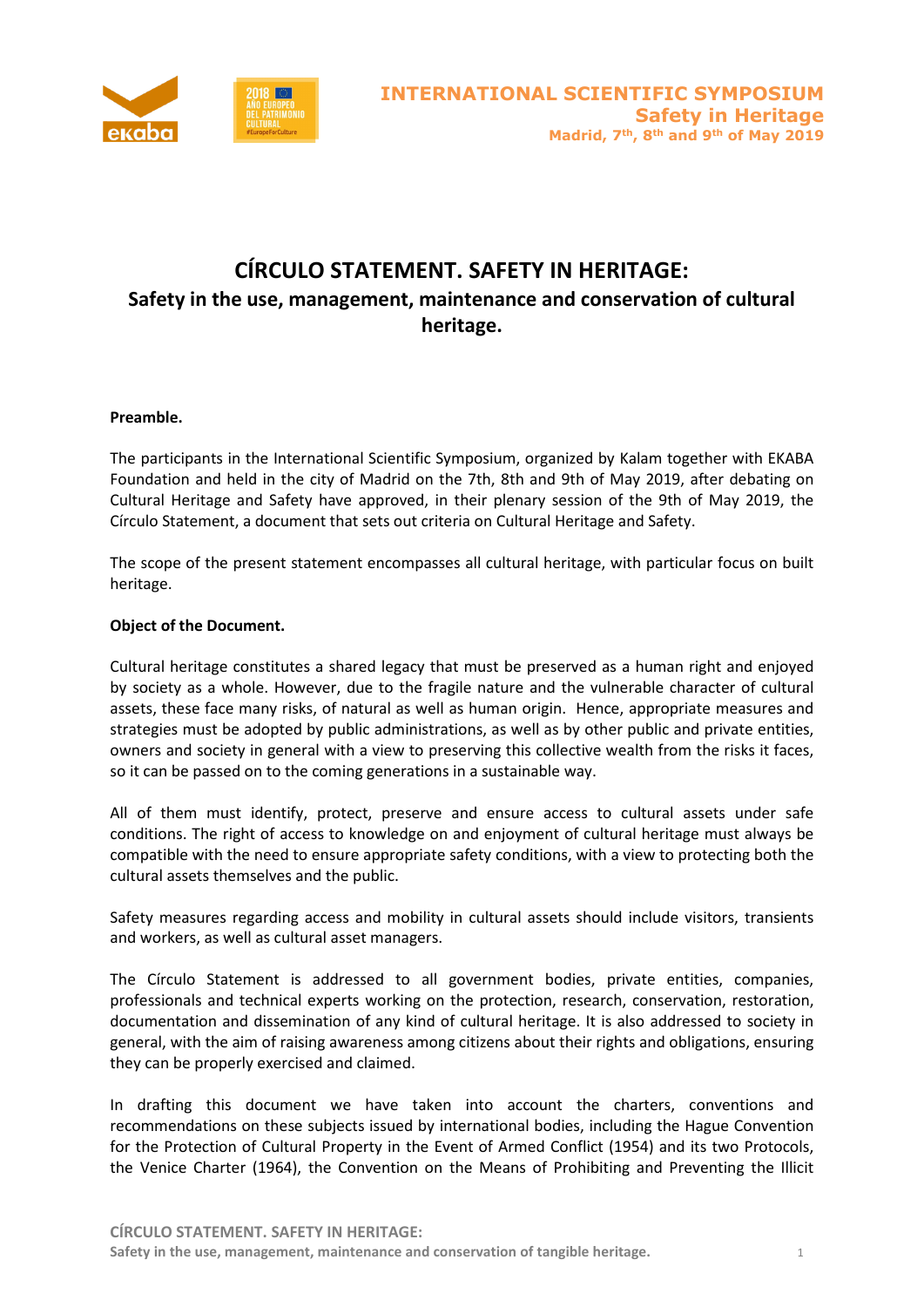

# **CÍRCULO STATEMENT. SAFETY IN HERITAGE: Safety in the use, management, maintenance and conservation of cultural heritage.**

### **Preamble.**

The participants in the International Scientific Symposium, organized by Kalam together with EKABA Foundation and held in the city of Madrid on the 7th, 8th and 9th of May 2019, after debating on Cultural Heritage and Safety have approved, in their plenary session of the 9th of May 2019, the Círculo Statement, a document that sets out criteria on Cultural Heritage and Safety.

The scope of the present statement encompasses all cultural heritage, with particular focus on built heritage.

### **Object of the Document.**

Cultural heritage constitutes a shared legacy that must be preserved as a human right and enjoyed by society as a whole. However, due to the fragile nature and the vulnerable character of cultural assets, these face many risks, of natural as well as human origin. Hence, appropriate measures and strategies must be adopted by public administrations, as well as by other public and private entities, owners and society in general with a view to preserving this collective wealth from the risks it faces, so it can be passed on to the coming generations in a sustainable way.

All of them must identify, protect, preserve and ensure access to cultural assets under safe conditions. The right of access to knowledge on and enjoyment of cultural heritage must always be compatible with the need to ensure appropriate safety conditions, with a view to protecting both the cultural assets themselves and the public.

Safety measures regarding access and mobility in cultural assets should include visitors, transients and workers, as well as cultural asset managers.

The Círculo Statement is addressed to all government bodies, private entities, companies, professionals and technical experts working on the protection, research, conservation, restoration, documentation and dissemination of any kind of cultural heritage. It is also addressed to society in general, with the aim of raising awareness among citizens about their rights and obligations, ensuring they can be properly exercised and claimed.

In drafting this document we have taken into account the charters, conventions and recommendations on these subjects issued by international bodies, including the Hague Convention for the Protection of Cultural Property in the Event of Armed Conflict (1954) and its two Protocols, the Venice Charter (1964), the Convention on the Means of Prohibiting and Preventing the Illicit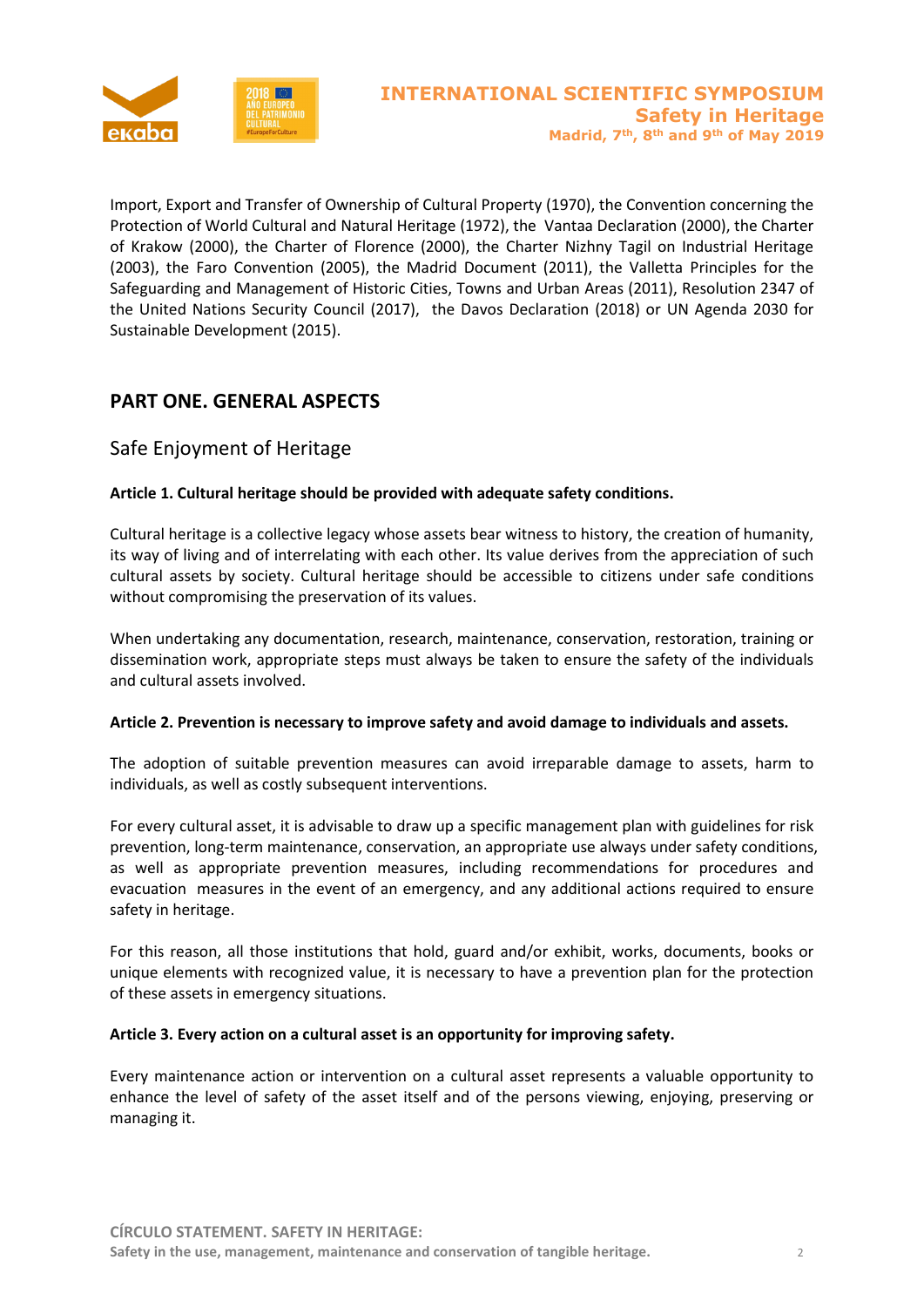

Import, Export and Transfer of Ownership of Cultural Property (1970), the Convention concerning the Protection of World Cultural and Natural Heritage (1972), the Vantaa Declaration (2000), the Charter of Krakow (2000), the Charter of Florence (2000), the Charter Nizhny Tagil on Industrial Heritage (2003), the Faro Convention (2005), the Madrid Document (2011), the Valletta Principles for the Safeguarding and Management of Historic Cities, Towns and Urban Areas (2011), Resolution 2347 of the United Nations Security Council (2017), the Davos Declaration (2018) or UN Agenda 2030 for Sustainable Development (2015).

# **PART ONE. GENERAL ASPECTS**

# Safe Enjoyment of Heritage

### **Article 1. Cultural heritage should be provided with adequate safety conditions.**

Cultural heritage is a collective legacy whose assets bear witness to history, the creation of humanity, its way of living and of interrelating with each other. Its value derives from the appreciation of such cultural assets by society. Cultural heritage should be accessible to citizens under safe conditions without compromising the preservation of its values.

When undertaking any documentation, research, maintenance, conservation, restoration, training or dissemination work, appropriate steps must always be taken to ensure the safety of the individuals and cultural assets involved.

### **Article 2. Prevention is necessary to improve safety and avoid damage to individuals and assets.**

The adoption of suitable prevention measures can avoid irreparable damage to assets, harm to individuals, as well as costly subsequent interventions.

For every cultural asset, it is advisable to draw up a specific management plan with guidelines for risk prevention, long-term maintenance, conservation, an appropriate use always under safety conditions, as well as appropriate prevention measures, including recommendations for procedures and evacuation measures in the event of an emergency, and any additional actions required to ensure safety in heritage.

For this reason, all those institutions that hold, guard and/or exhibit, works, documents, books or unique elements with recognized value, it is necessary to have a prevention plan for the protection of these assets in emergency situations.

### **Article 3. Every action on a cultural asset is an opportunity for improving safety.**

Every maintenance action or intervention on a cultural asset represents a valuable opportunity to enhance the level of safety of the asset itself and of the persons viewing, enjoying, preserving or managing it.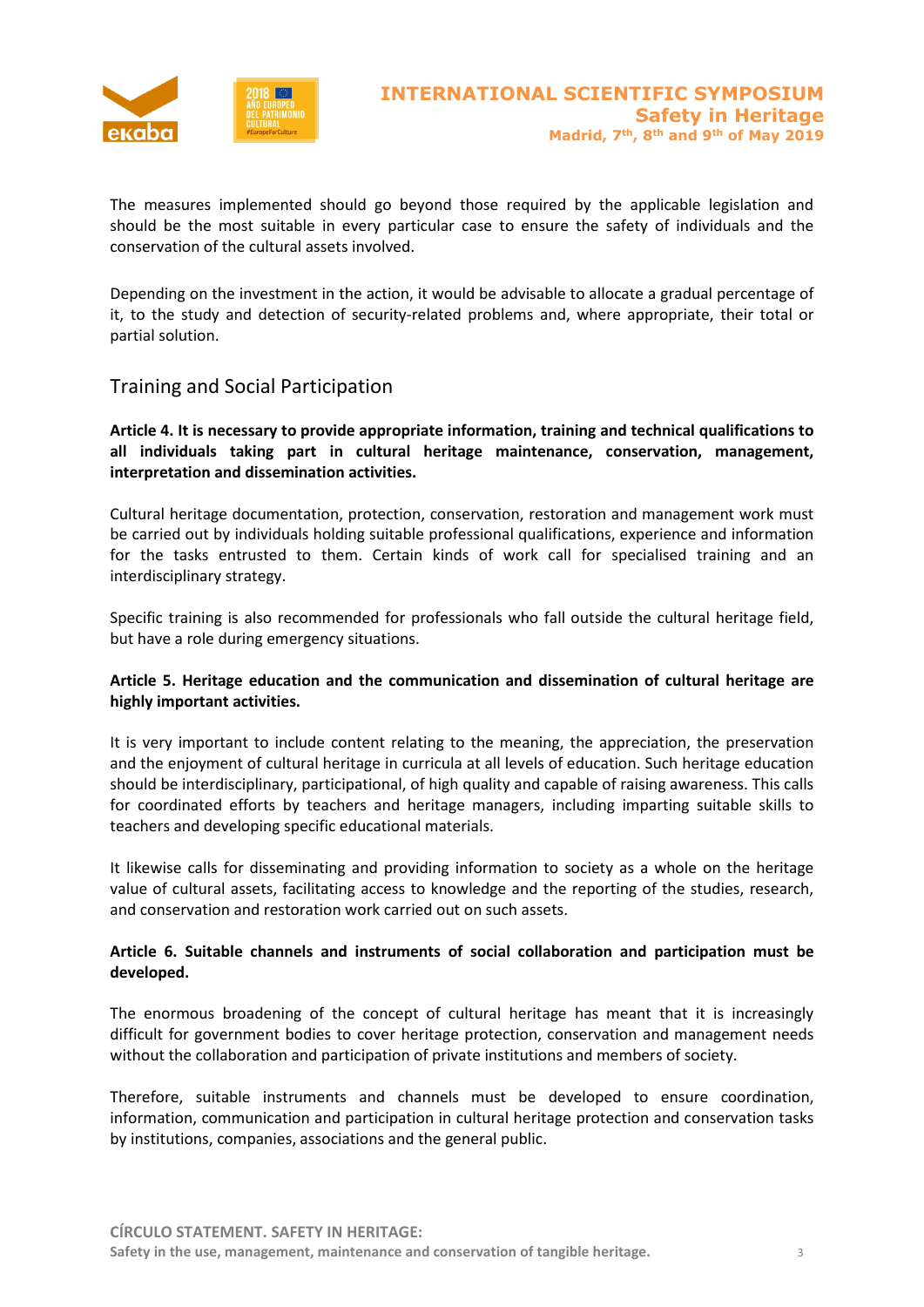

The measures implemented should go beyond those required by the applicable legislation and should be the most suitable in every particular case to ensure the safety of individuals and the conservation of the cultural assets involved.

Depending on the investment in the action, it would be advisable to allocate a gradual percentage of it, to the study and detection of security-related problems and, where appropriate, their total or partial solution.

### Training and Social Participation

**Article 4. It is necessary to provide appropriate information, training and technical qualifications to all individuals taking part in cultural heritage maintenance, conservation, management, interpretation and dissemination activities.**

Cultural heritage documentation, protection, conservation, restoration and management work must be carried out by individuals holding suitable professional qualifications, experience and information for the tasks entrusted to them. Certain kinds of work call for specialised training and an interdisciplinary strategy.

Specific training is also recommended for professionals who fall outside the cultural heritage field, but have a role during emergency situations.

### **Article 5. Heritage education and the communication and dissemination of cultural heritage are highly important activities.**

It is very important to include content relating to the meaning, the appreciation, the preservation and the enjoyment of cultural heritage in curricula at all levels of education. Such heritage education should be interdisciplinary, participational, of high quality and capable of raising awareness. This calls for coordinated efforts by teachers and heritage managers, including imparting suitable skills to teachers and developing specific educational materials.

It likewise calls for disseminating and providing information to society as a whole on the heritage value of cultural assets, facilitating access to knowledge and the reporting of the studies, research, and conservation and restoration work carried out on such assets.

### **Article 6. Suitable channels and instruments of social collaboration and participation must be developed.**

The enormous broadening of the concept of cultural heritage has meant that it is increasingly difficult for government bodies to cover heritage protection, conservation and management needs without the collaboration and participation of private institutions and members of society.

Therefore, suitable instruments and channels must be developed to ensure coordination, information, communication and participation in cultural heritage protection and conservation tasks by institutions, companies, associations and the general public.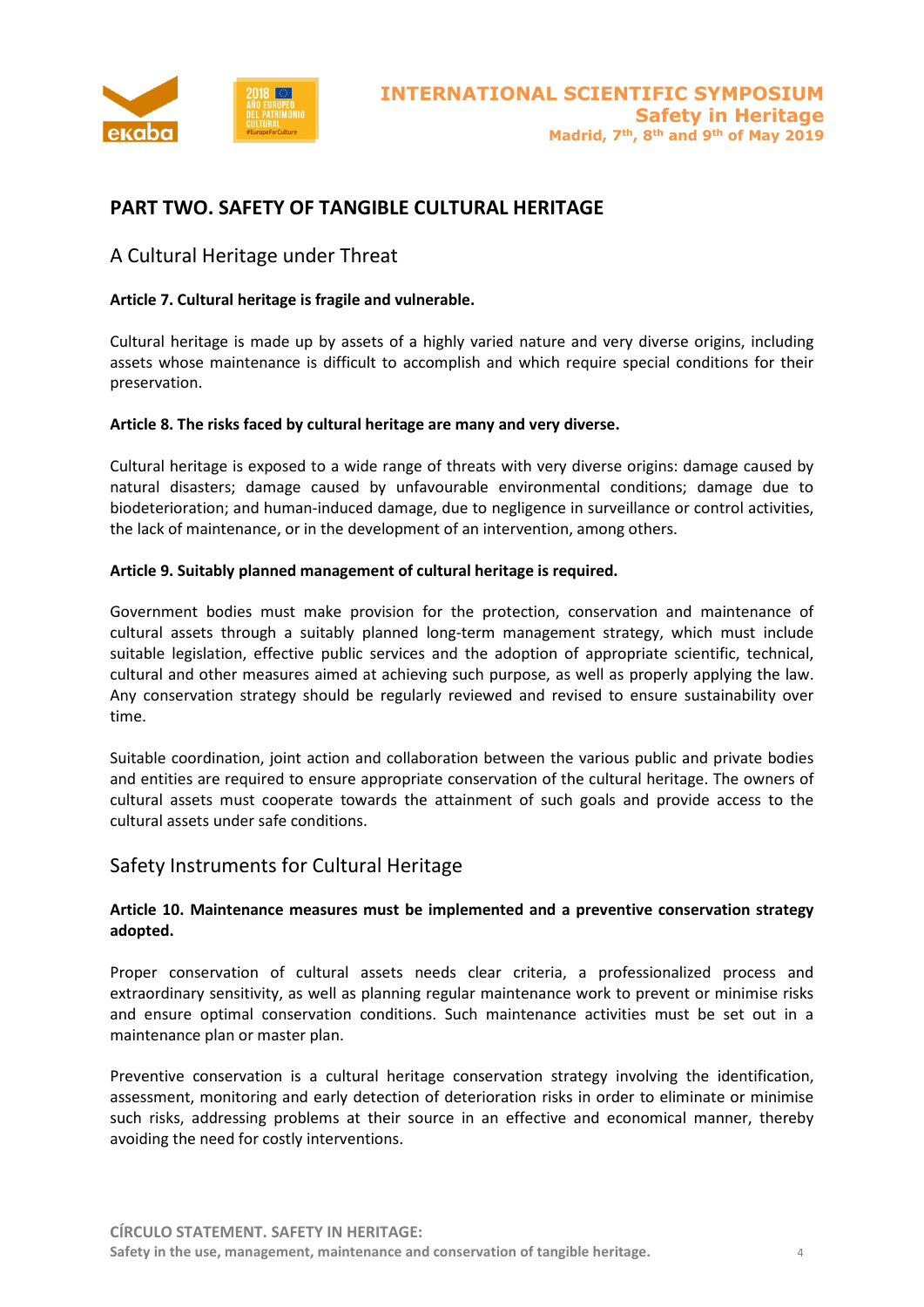

# **PART TWO. SAFETY OF TANGIBLE CULTURAL HERITAGE**

### A Cultural Heritage under Threat

### **Article 7. Cultural heritage is fragile and vulnerable.**

Cultural heritage is made up by assets of a highly varied nature and very diverse origins, including assets whose maintenance is difficult to accomplish and which require special conditions for their preservation.

### **Article 8. The risks faced by cultural heritage are many and very diverse.**

Cultural heritage is exposed to a wide range of threats with very diverse origins: damage caused by natural disasters; damage caused by unfavourable environmental conditions; damage due to biodeterioration; and human-induced damage, due to negligence in surveillance or control activities, the lack of maintenance, or in the development of an intervention, among others.

### **Article 9. Suitably planned management of cultural heritage is required.**

Government bodies must make provision for the protection, conservation and maintenance of cultural assets through a suitably planned long-term management strategy, which must include suitable legislation, effective public services and the adoption of appropriate scientific, technical, cultural and other measures aimed at achieving such purpose, as well as properly applying the law. Any conservation strategy should be regularly reviewed and revised to ensure sustainability over time.

Suitable coordination, joint action and collaboration between the various public and private bodies and entities are required to ensure appropriate conservation of the cultural heritage. The owners of cultural assets must cooperate towards the attainment of such goals and provide access to the cultural assets under safe conditions.

### Safety Instruments for Cultural Heritage

### **Article 10. Maintenance measures must be implemented and a preventive conservation strategy adopted.**

Proper conservation of cultural assets needs clear criteria, a professionalized process and extraordinary sensitivity, as well as planning regular maintenance work to prevent or minimise risks and ensure optimal conservation conditions. Such maintenance activities must be set out in a maintenance plan or master plan.

Preventive conservation is a cultural heritage conservation strategy involving the identification, assessment, monitoring and early detection of deterioration risks in order to eliminate or minimise such risks, addressing problems at their source in an effective and economical manner, thereby avoiding the need for costly interventions.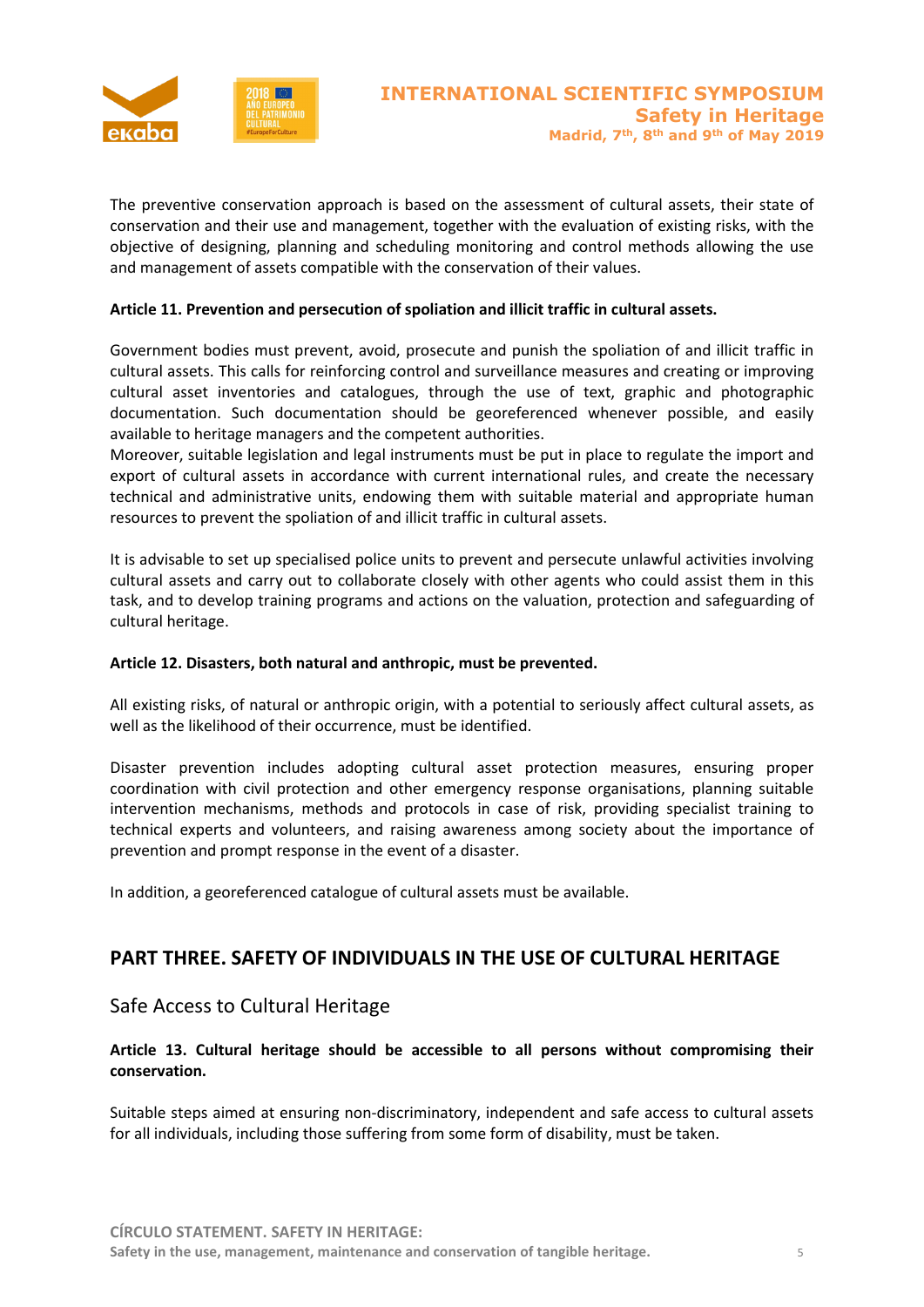

The preventive conservation approach is based on the assessment of cultural assets, their state of conservation and their use and management, together with the evaluation of existing risks, with the objective of designing, planning and scheduling monitoring and control methods allowing the use and management of assets compatible with the conservation of their values.

### **Article 11. Prevention and persecution of spoliation and illicit traffic in cultural assets.**

Government bodies must prevent, avoid, prosecute and punish the spoliation of and illicit traffic in cultural assets. This calls for reinforcing control and surveillance measures and creating or improving cultural asset inventories and catalogues, through the use of text, graphic and photographic documentation. Such documentation should be georeferenced whenever possible, and easily available to heritage managers and the competent authorities.

Moreover, suitable legislation and legal instruments must be put in place to regulate the import and export of cultural assets in accordance with current international rules, and create the necessary technical and administrative units, endowing them with suitable material and appropriate human resources to prevent the spoliation of and illicit traffic in cultural assets.

It is advisable to set up specialised police units to prevent and persecute unlawful activities involving cultural assets and carry out to collaborate closely with other agents who could assist them in this task, and to develop training programs and actions on the valuation, protection and safeguarding of cultural heritage.

### **Article 12. Disasters, both natural and anthropic, must be prevented.**

All existing risks, of natural or anthropic origin, with a potential to seriously affect cultural assets, as well as the likelihood of their occurrence, must be identified.

Disaster prevention includes adopting cultural asset protection measures, ensuring proper coordination with civil protection and other emergency response organisations, planning suitable intervention mechanisms, methods and protocols in case of risk, providing specialist training to technical experts and volunteers, and raising awareness among society about the importance of prevention and prompt response in the event of a disaster.

In addition, a georeferenced catalogue of cultural assets must be available.

# **PART THREE. SAFETY OF INDIVIDUALS IN THE USE OF CULTURAL HERITAGE**

### Safe Access to Cultural Heritage

### **Article 13. Cultural heritage should be accessible to all persons without compromising their conservation.**

Suitable steps aimed at ensuring non-discriminatory, independent and safe access to cultural assets for all individuals, including those suffering from some form of disability, must be taken.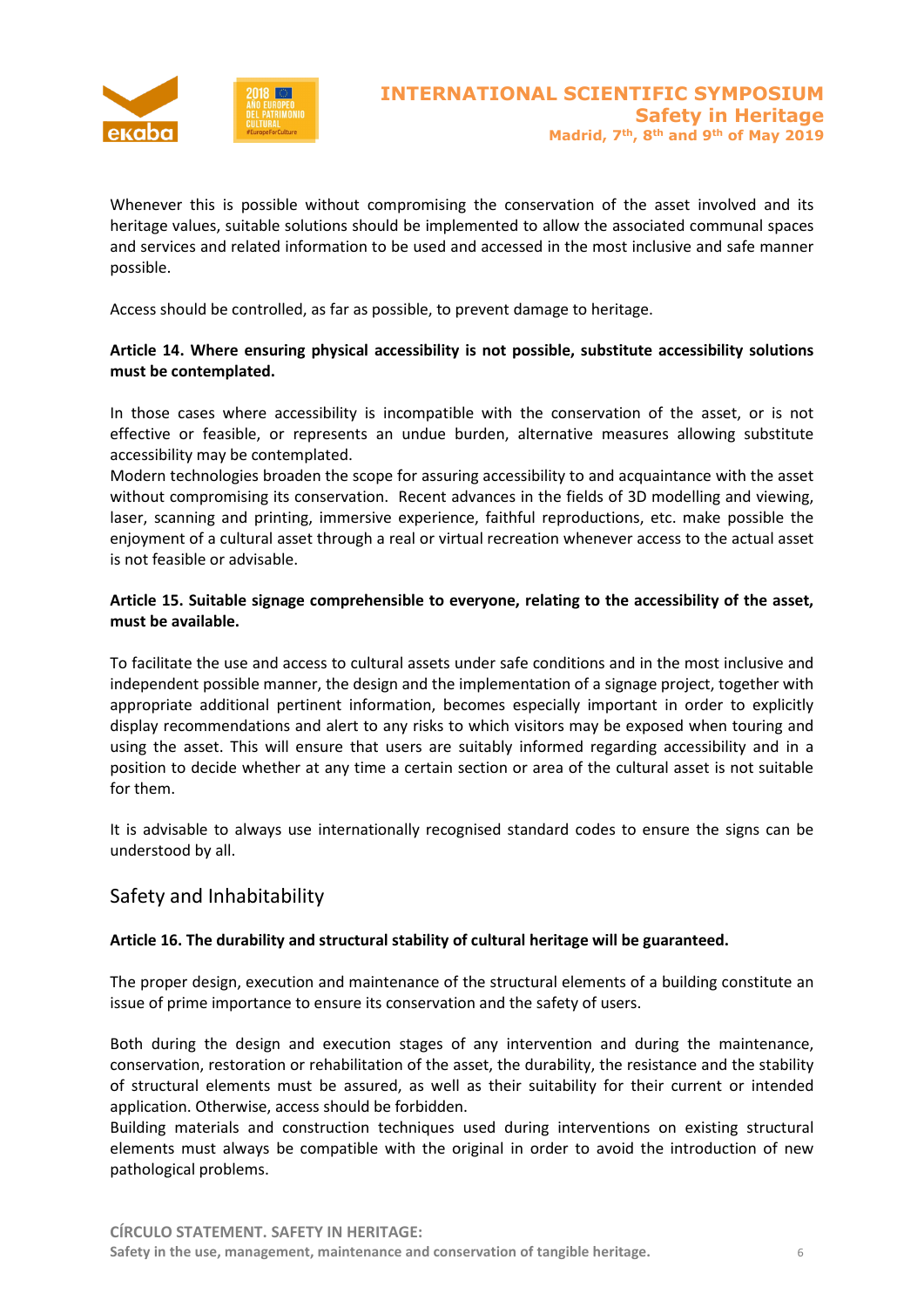

Whenever this is possible without compromising the conservation of the asset involved and its heritage values, suitable solutions should be implemented to allow the associated communal spaces and services and related information to be used and accessed in the most inclusive and safe manner possible.

Access should be controlled, as far as possible, to prevent damage to heritage.

### **Article 14. Where ensuring physical accessibility is not possible, substitute accessibility solutions must be contemplated.**

In those cases where accessibility is incompatible with the conservation of the asset, or is not effective or feasible, or represents an undue burden, alternative measures allowing substitute accessibility may be contemplated.

Modern technologies broaden the scope for assuring accessibility to and acquaintance with the asset without compromising its conservation. Recent advances in the fields of 3D modelling and viewing, laser, scanning and printing, immersive experience, faithful reproductions, etc. make possible the enjoyment of a cultural asset through a real or virtual recreation whenever access to the actual asset is not feasible or advisable.

### **Article 15. Suitable signage comprehensible to everyone, relating to the accessibility of the asset, must be available.**

To facilitate the use and access to cultural assets under safe conditions and in the most inclusive and independent possible manner, the design and the implementation of a signage project, together with appropriate additional pertinent information, becomes especially important in order to explicitly display recommendations and alert to any risks to which visitors may be exposed when touring and using the asset. This will ensure that users are suitably informed regarding accessibility and in a position to decide whether at any time a certain section or area of the cultural asset is not suitable for them.

It is advisable to always use internationally recognised standard codes to ensure the signs can be understood by all.

# Safety and Inhabitability

### **Article 16. The durability and structural stability of cultural heritage will be guaranteed.**

The proper design, execution and maintenance of the structural elements of a building constitute an issue of prime importance to ensure its conservation and the safety of users.

Both during the design and execution stages of any intervention and during the maintenance, conservation, restoration or rehabilitation of the asset, the durability, the resistance and the stability of structural elements must be assured, as well as their suitability for their current or intended application. Otherwise, access should be forbidden.

Building materials and construction techniques used during interventions on existing structural elements must always be compatible with the original in order to avoid the introduction of new pathological problems.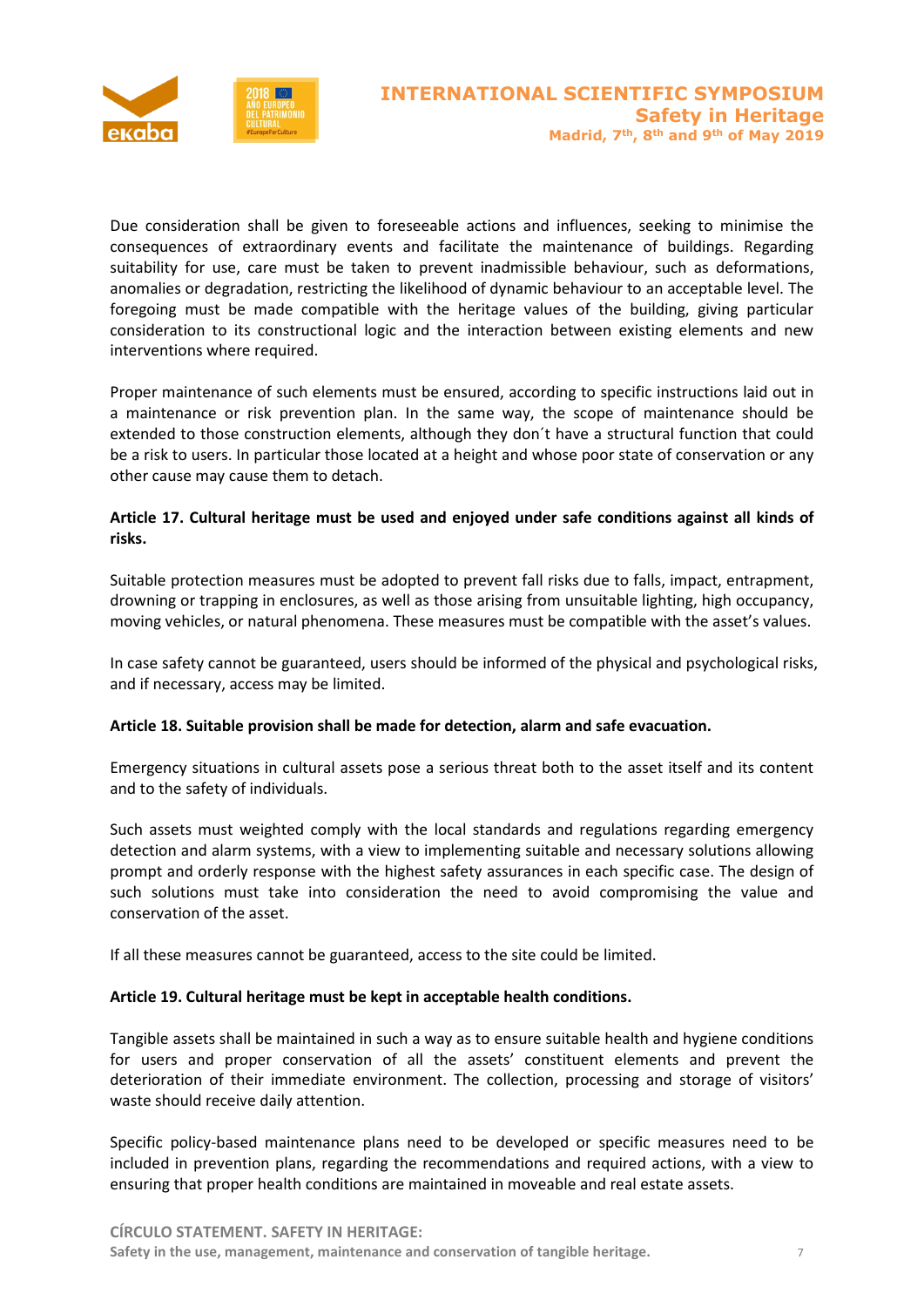

Due consideration shall be given to foreseeable actions and influences, seeking to minimise the consequences of extraordinary events and facilitate the maintenance of buildings. Regarding suitability for use, care must be taken to prevent inadmissible behaviour, such as deformations, anomalies or degradation, restricting the likelihood of dynamic behaviour to an acceptable level. The foregoing must be made compatible with the heritage values of the building, giving particular consideration to its constructional logic and the interaction between existing elements and new interventions where required.

Proper maintenance of such elements must be ensured, according to specific instructions laid out in a maintenance or risk prevention plan. In the same way, the scope of maintenance should be extended to those construction elements, although they don´t have a structural function that could be a risk to users. In particular those located at a height and whose poor state of conservation or any other cause may cause them to detach.

### **Article 17. Cultural heritage must be used and enjoyed under safe conditions against all kinds of risks.**

Suitable protection measures must be adopted to prevent fall risks due to falls, impact, entrapment, drowning or trapping in enclosures, as well as those arising from unsuitable lighting, high occupancy, moving vehicles, or natural phenomena. These measures must be compatible with the asset's values.

In case safety cannot be guaranteed, users should be informed of the physical and psychological risks, and if necessary, access may be limited.

### **Article 18. Suitable provision shall be made for detection, alarm and safe evacuation.**

Emergency situations in cultural assets pose a serious threat both to the asset itself and its content and to the safety of individuals.

Such assets must weighted comply with the local standards and regulations regarding emergency detection and alarm systems, with a view to implementing suitable and necessary solutions allowing prompt and orderly response with the highest safety assurances in each specific case. The design of such solutions must take into consideration the need to avoid compromising the value and conservation of the asset.

If all these measures cannot be guaranteed, access to the site could be limited.

### **Article 19. Cultural heritage must be kept in acceptable health conditions.**

Tangible assets shall be maintained in such a way as to ensure suitable health and hygiene conditions for users and proper conservation of all the assets' constituent elements and prevent the deterioration of their immediate environment. The collection, processing and storage of visitors' waste should receive daily attention.

Specific policy-based maintenance plans need to be developed or specific measures need to be included in prevention plans, regarding the recommendations and required actions, with a view to ensuring that proper health conditions are maintained in moveable and real estate assets.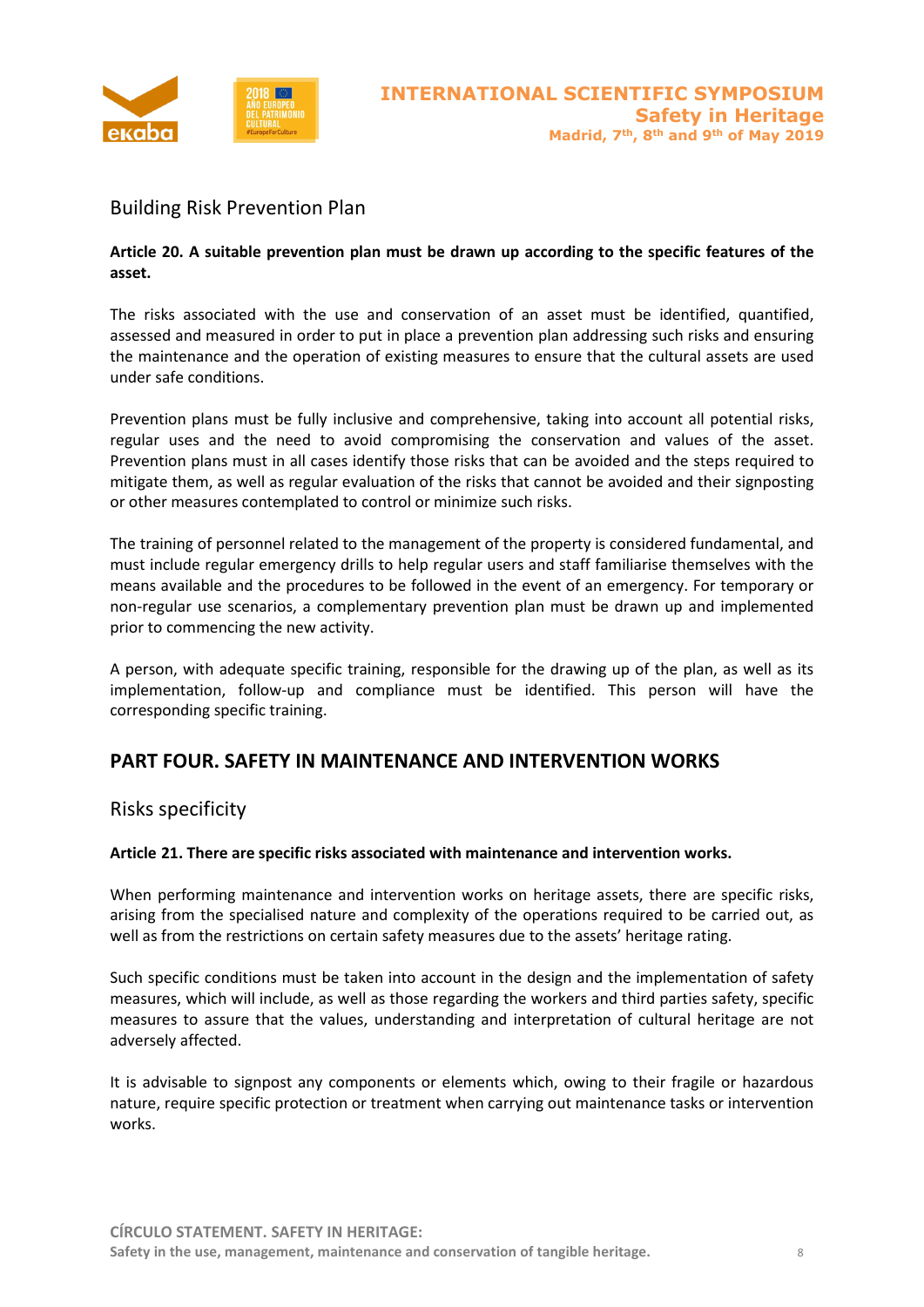

# Building Risk Prevention Plan

### **Article 20. A suitable prevention plan must be drawn up according to the specific features of the asset.**

The risks associated with the use and conservation of an asset must be identified, quantified, assessed and measured in order to put in place a prevention plan addressing such risks and ensuring the maintenance and the operation of existing measures to ensure that the cultural assets are used under safe conditions.

Prevention plans must be fully inclusive and comprehensive, taking into account all potential risks, regular uses and the need to avoid compromising the conservation and values of the asset. Prevention plans must in all cases identify those risks that can be avoided and the steps required to mitigate them, as well as regular evaluation of the risks that cannot be avoided and their signposting or other measures contemplated to control or minimize such risks.

The training of personnel related to the management of the property is considered fundamental, and must include regular emergency drills to help regular users and staff familiarise themselves with the means available and the procedures to be followed in the event of an emergency. For temporary or non-regular use scenarios, a complementary prevention plan must be drawn up and implemented prior to commencing the new activity.

A person, with adequate specific training, responsible for the drawing up of the plan, as well as its implementation, follow-up and compliance must be identified. This person will have the corresponding specific training.

### **PART FOUR. SAFETY IN MAINTENANCE AND INTERVENTION WORKS**

### Risks specificity

### **Article 21. There are specific risks associated with maintenance and intervention works.**

When performing maintenance and intervention works on heritage assets, there are specific risks, arising from the specialised nature and complexity of the operations required to be carried out, as well as from the restrictions on certain safety measures due to the assets' heritage rating.

Such specific conditions must be taken into account in the design and the implementation of safety measures, which will include, as well as those regarding the workers and third parties safety, specific measures to assure that the values, understanding and interpretation of cultural heritage are not adversely affected.

It is advisable to signpost any components or elements which, owing to their fragile or hazardous nature, require specific protection or treatment when carrying out maintenance tasks or intervention works.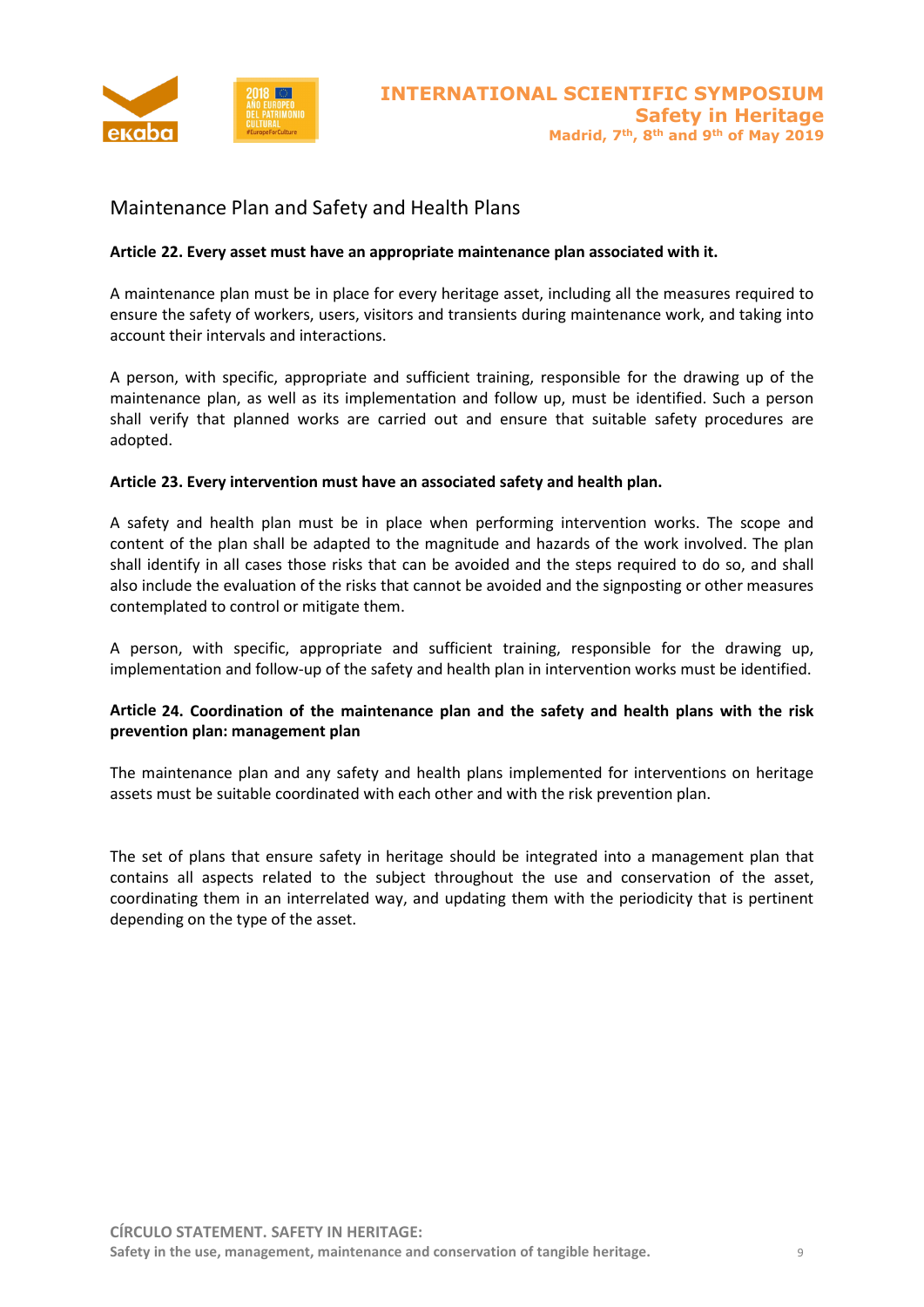

# Maintenance Plan and Safety and Health Plans

### **Article 22. Every asset must have an appropriate maintenance plan associated with it.**

A maintenance plan must be in place for every heritage asset, including all the measures required to ensure the safety of workers, users, visitors and transients during maintenance work, and taking into account their intervals and interactions.

A person, with specific, appropriate and sufficient training, responsible for the drawing up of the maintenance plan, as well as its implementation and follow up, must be identified. Such a person shall verify that planned works are carried out and ensure that suitable safety procedures are adopted.

### **Article 23. Every intervention must have an associated safety and health plan.**

A safety and health plan must be in place when performing intervention works. The scope and content of the plan shall be adapted to the magnitude and hazards of the work involved. The plan shall identify in all cases those risks that can be avoided and the steps required to do so, and shall also include the evaluation of the risks that cannot be avoided and the signposting or other measures contemplated to control or mitigate them.

A person, with specific, appropriate and sufficient training, responsible for the drawing up, implementation and follow-up of the safety and health plan in intervention works must be identified.

### **Article 24. Coordination of the maintenance plan and the safety and health plans with the risk prevention plan: management plan**

The maintenance plan and any safety and health plans implemented for interventions on heritage assets must be suitable coordinated with each other and with the risk prevention plan.

The set of plans that ensure safety in heritage should be integrated into a management plan that contains all aspects related to the subject throughout the use and conservation of the asset, coordinating them in an interrelated way, and updating them with the periodicity that is pertinent depending on the type of the asset.